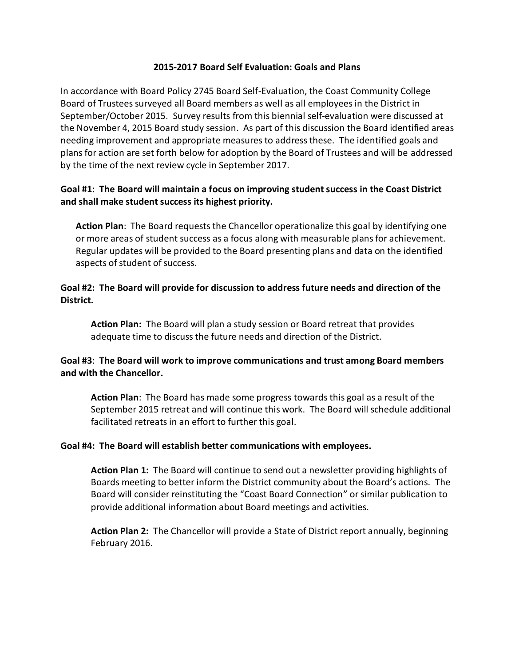#### **2015-2017 Board Self Evaluation: Goals and Plans**

In accordance with Board Policy 2745 Board Self-Evaluation, the Coast Community College Board of Trustees surveyed all Board members as well as all employees in the District in September/October 2015. Survey results from this biennial self-evaluation were discussed at the November 4, 2015 Board study session. As part of this discussion the Board identified areas needing improvement and appropriate measures to address these. The identified goals and plans for action are set forth below for adoption by the Board of Trustees and will be addressed by the time of the next review cycle in September 2017.

## **Goal #1: The Board will maintain a focus on improving student success in the Coast District and shall make student success its highest priority.**

**Action Plan**: The Board requests the Chancellor operationalize this goal by identifying one or more areas of student success as a focus along with measurable plans for achievement. Regular updates will be provided to the Board presenting plans and data on the identified aspects of student of success.

### **Goal #2: The Board will provide for discussion to address future needs and direction of the District.**

**Action Plan:** The Board will plan a study session or Board retreat that provides adequate time to discuss the future needs and direction of the District.

## **Goal #3**: **The Board will work to improve communications and trust among Board members and with the Chancellor.**

**Action Plan**: The Board has made some progress towards this goal as a result of the September 2015 retreat and will continue this work. The Board will schedule additional facilitated retreats in an effort to further this goal.

#### **Goal #4: The Board will establish better communications with employees.**

**Action Plan 1:** The Board will continue to send out a newsletter providing highlights of Boards meeting to better inform the District community about the Board's actions. The Board will consider reinstituting the "Coast Board Connection" or similar publication to provide additional information about Board meetings and activities.

**Action Plan 2:** The Chancellor will provide a State of District report annually, beginning February 2016.